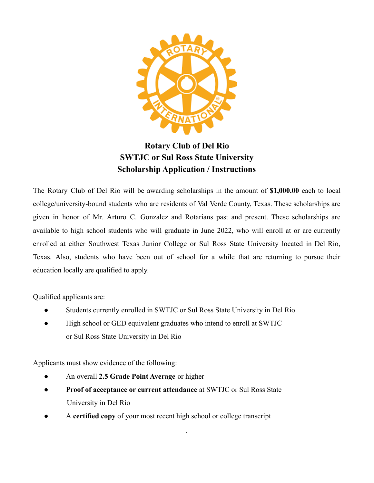

# **Rotary Club of Del Rio SWTJC or Sul Ross State University Scholarship Application / Instructions**

The Rotary Club of Del Rio will be awarding scholarships in the amount of **\$1,000.00** each to local college/university-bound students who are residents of Val Verde County, Texas. These scholarships are given in honor of Mr. Arturo C. Gonzalez and Rotarians past and present. These scholarships are available to high school students who will graduate in June 2022, who will enroll at or are currently enrolled at either Southwest Texas Junior College or Sul Ross State University located in Del Rio, Texas. Also, students who have been out of school for a while that are returning to pursue their education locally are qualified to apply.

Qualified applicants are:

- Students currently enrolled in SWTJC or Sul Ross State University in Del Rio
- High school or GED equivalent graduates who intend to enroll at SWTJC or Sul Ross State University in Del Rio

Applicants must show evidence of the following:

- An overall **2.5 Grade Point Average** or higher
- **Proof of acceptance or current attendance** at SWTJC or Sul Ross State University in Del Rio
- A **certified copy** of your most recent high school or college transcript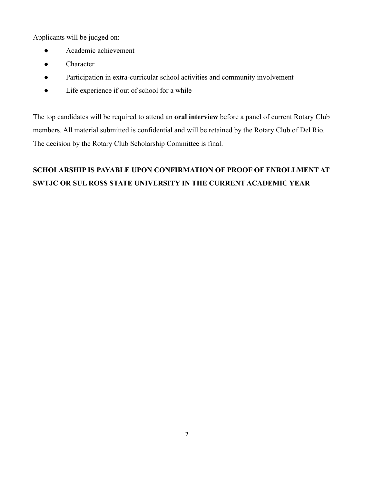Applicants will be judged on:

- Academic achievement
- Character
- Participation in extra-curricular school activities and community involvement
- Life experience if out of school for a while

The top candidates will be required to attend an **oral interview** before a panel of current Rotary Club members. All material submitted is confidential and will be retained by the Rotary Club of Del Rio. The decision by the Rotary Club Scholarship Committee is final.

# **SCHOLARSHIP IS PAYABLE UPON CONFIRMATION OF PROOF OF ENROLLMENT AT SWTJC OR SUL ROSS STATE UNIVERSITY IN THE CURRENT ACADEMIC YEAR**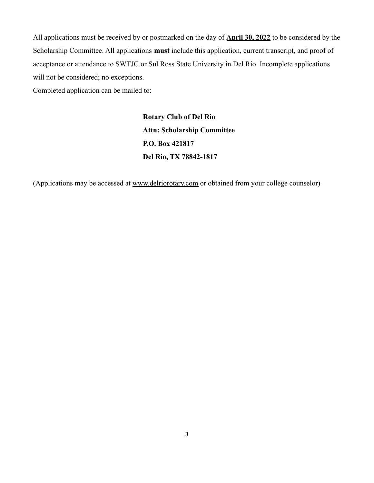All applications must be received by or postmarked on the day of **April 30, 2022** to be considered by the Scholarship Committee. All applications **must** include this application, current transcript, and proof of acceptance or attendance to SWTJC or Sul Ross State University in Del Rio. Incomplete applications will not be considered; no exceptions.

Completed application can be mailed to:

**Rotary Club of Del Rio Attn: Scholarship Committee P.O. Box 421817 Del Rio, TX 78842-1817**

(Applications may be accessed at [www.delriorotary.com](http://www.delriorotary.com) or obtained from your college counselor)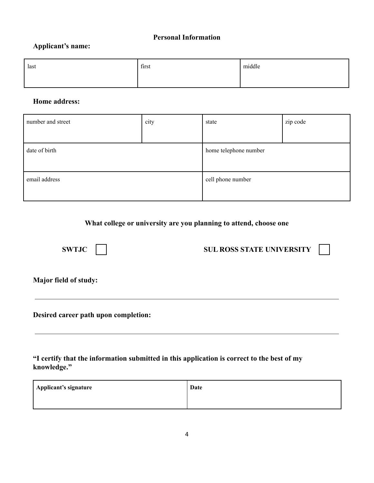#### **Personal Information**

#### **Applicant's name:**

| last | first | middle |
|------|-------|--------|
|      |       |        |

#### **Home address:**

| number and street | city | state                 | zip code |
|-------------------|------|-----------------------|----------|
|                   |      |                       |          |
| date of birth     |      | home telephone number |          |
|                   |      |                       |          |
| email address     |      | cell phone number     |          |
|                   |      |                       |          |

## **What college or university are you planning to attend, choose one**

## **SWTJC** SUL ROSS STATE UNIVERSITY

**Major field of study:**

**Desired career path upon completion:**

**"I certify that the information submitted in this application is correct to the best of my knowledge."**

| Applicant's signature | Date |
|-----------------------|------|
|                       |      |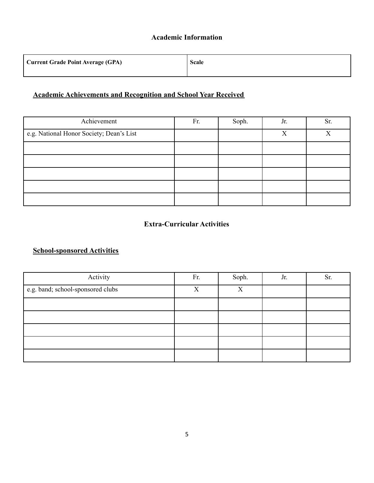#### **Academic Information**

| <b>Current Grade Point Average (GPA)</b> | <b>Scale</b> |
|------------------------------------------|--------------|
|                                          |              |

## **Academic Achievements and Recognition and School Year Received**

| Achievement                              | Fr. | Soph. | Jr. | Sr.          |
|------------------------------------------|-----|-------|-----|--------------|
| e.g. National Honor Society; Dean's List |     |       | X   | $\mathbf{x}$ |
|                                          |     |       |     |              |
|                                          |     |       |     |              |
|                                          |     |       |     |              |
|                                          |     |       |     |              |
|                                          |     |       |     |              |

### **Extra-Curricular Activities**

## **School-sponsored Activities**

| Activity                          | Fr. | Soph. | Jr. | Sr. |
|-----------------------------------|-----|-------|-----|-----|
| e.g. band; school-sponsored clubs | X   | X     |     |     |
|                                   |     |       |     |     |
|                                   |     |       |     |     |
|                                   |     |       |     |     |
|                                   |     |       |     |     |
|                                   |     |       |     |     |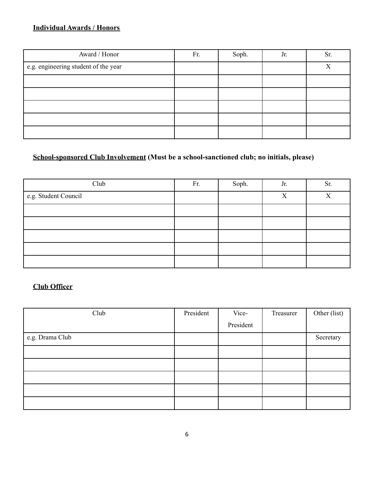# **Individual Awards / Honors**

| Award / Honor                        | Fr. | Soph. | Jr. | Sr. |
|--------------------------------------|-----|-------|-----|-----|
| e.g. engineering student of the year |     |       |     | X   |
|                                      |     |       |     |     |
|                                      |     |       |     |     |
|                                      |     |       |     |     |
|                                      |     |       |     |     |
|                                      |     |       |     |     |

# **School-sponsored Club Involvement (Must be a school-sanctioned club; no initials, please)**

| Club                 | Fr. | Soph. | Jr. | Sr. |
|----------------------|-----|-------|-----|-----|
| e.g. Student Council |     |       | X   | X   |
|                      |     |       |     |     |
|                      |     |       |     |     |
|                      |     |       |     |     |
|                      |     |       |     |     |
|                      |     |       |     |     |

# **Club Officer**

| Club            | President | Vice-     | Treasurer | Other (list) |
|-----------------|-----------|-----------|-----------|--------------|
|                 |           | President |           |              |
| e.g. Drama Club |           |           |           | Secretary    |
|                 |           |           |           |              |
|                 |           |           |           |              |
|                 |           |           |           |              |
|                 |           |           |           |              |
|                 |           |           |           |              |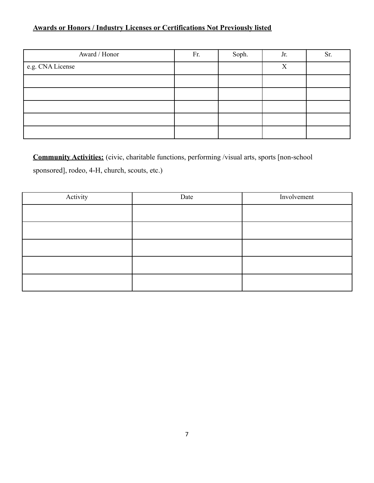# **Awards or Honors / Industry Licenses or Certifications Not Previously listed**

| Award / Honor    | Fr. | Soph. | Jr.          | Sr. |
|------------------|-----|-------|--------------|-----|
| e.g. CNA License |     |       | $\mathbf{v}$ |     |
|                  |     |       |              |     |
|                  |     |       |              |     |
|                  |     |       |              |     |
|                  |     |       |              |     |
|                  |     |       |              |     |

**Community Activities:** (civic, charitable functions, performing /visual arts, sports [non-school sponsored], rodeo, 4-H, church, scouts, etc.)

| Activity | Date | Involvement |
|----------|------|-------------|
|          |      |             |
|          |      |             |
|          |      |             |
|          |      |             |
|          |      |             |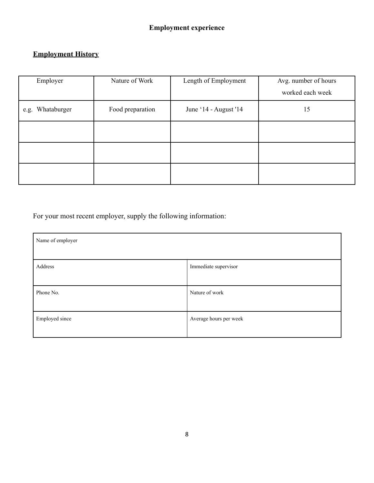# **Employment History**

| Employer            | Nature of Work   | Length of Employment  | Avg. number of hours<br>worked each week |
|---------------------|------------------|-----------------------|------------------------------------------|
| Whataburger<br>e.g. | Food preparation | June '14 - August '14 | 15                                       |
|                     |                  |                       |                                          |
|                     |                  |                       |                                          |
|                     |                  |                       |                                          |

For your most recent employer, supply the following information:

| Name of employer |                        |
|------------------|------------------------|
| Address          | Immediate supervisor   |
| Phone No.        | Nature of work         |
| Employed since   | Average hours per week |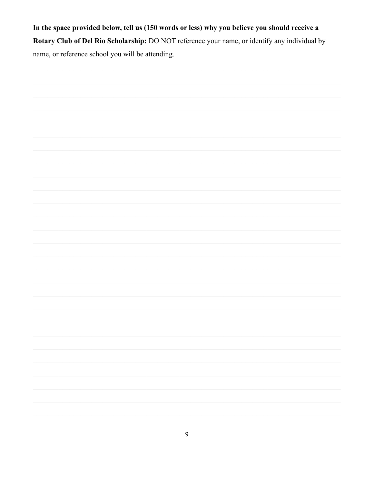In the space provided below, tell us (150 words or less) why you believe you should receive a Rotary Club of Del Rio Scholarship: DO NOT reference your name, or identify any individual by name, or reference school you will be attending.